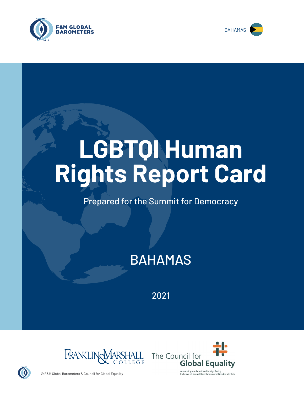



# **LGBTQI Human Rights Report Card**

# Prepared for the Summit for Democracy

# BAHAMAS

2021





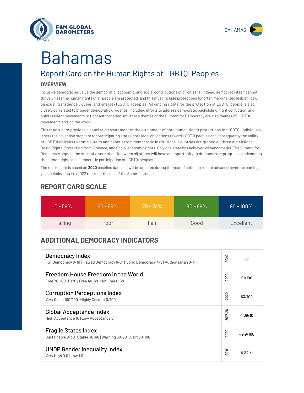



# Bahamas

# Report Card on the Human Rights of LGBTQI Peoples

## **OVERVIEW**

Inclusive democracies value the democratic, economic, and social contributions of *all* citizens. Indeed, democracy itself cannot thrive unless the human rights of all people are protected, and this must include protections for often marginalized lesbian, gay, bisexual, transgender, queer, and intersex (LGBTQI) peoples. Advancing rights for the protection of LGBTQI people is also closely correlated to broader democratic dividends, including efforts to address democratic backsliding, fight corruption, and build resilient movements to fight authoritarianism. These themes of the Summit for Democracy are also themes of LGBTQI movements around the world.

This report card provides a concise measurement of the attainment of core human rights protections for LGBTQI individuals. It sets the collective standard for participating states' core legal obligations toward LGBTQI peoples and consequently the ability of LGBTQI citizens to contribute to and benefit from democratic institutions. Countries are graded on three dimensions: Basic Rights, Protection from Violence, and Socio-economic rights. Only one state has achieved all benchmarks. The Summit for Democracy signals the start of a year of action when all states will have an opportunity to demonstrate progress in advancing the human rights and democratic participation of LGBTQI peoples.

The report card is based on **2020** baseline data and will be updated during the year of action to reflect advances over the coming year, culminating in a 2022 report at the end of the Summit process.

| $0 - 59\%$ | $60 - 69\%$ | $70 - 79\%$ | $80 - 89\%$ | $90 - 100\%$ |
|------------|-------------|-------------|-------------|--------------|
| Failing    | Poor        | Fair        | Good        | Excellent    |

# **REPORT CARD SCALE**

# **ADDITIONAL DEMOCRACY INDICATORS**

| Democracy Index<br>Full Democracy 8-10   Flawed Democracy 6-8   Hybrid Democracy 4-6   Authoritarian 0-4 | $\circ$<br>202       | <b>NA</b> |
|----------------------------------------------------------------------------------------------------------|----------------------|-----------|
| Freedom House Freedom in the World<br>Free 70-100   Partly Free 40-69   Not Free 0-39                    | 2020                 | 91/100    |
| <b>Corruption Perceptions Index</b><br>Very Clean 100/100   Highly Corrupt 0/100                         | 020<br>$\sim$        | 63/100    |
| <b>Global Acceptance Index</b><br>High Acceptance 10   Low Acceptance 0                                  | $017 - 20$<br>$\sim$ | 4.09/10   |
| <b>Fragile States Index</b><br>Sustainable 0-30   Stable 30-60   Warning 60-90   Alert 90-100            | 020<br>$\bar{\sim}$  | 49.9/100  |
| <b>UNDP Gender Inequality Index</b><br>Very High 0.0   Low 1.0                                           | 019<br>$\sim$        | 0.341/1   |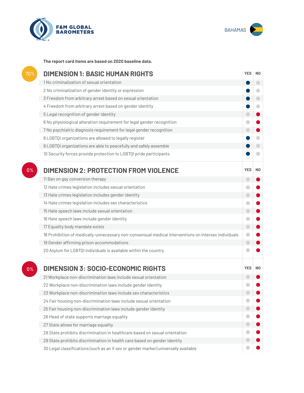



**The report card items are based on 2020 baseline data.**

| 70%   | <b>DIMENSION 1: BASIC HUMAN RIGHTS</b>                                                               | <b>YES</b> | N <sub>0</sub> |
|-------|------------------------------------------------------------------------------------------------------|------------|----------------|
|       | 1 No criminalization of sexual orientation                                                           |            | $\bigcirc$     |
|       | 2 No criminalization of gender identity or expression                                                |            |                |
|       | 3 Freedom from arbitrary arrest based on sexual orientation                                          |            | $\bigcirc$     |
|       | 4 Freedom from arbitrary arrest based on gender identity                                             |            | $\bullet$      |
|       | 5 Legal recognition of gender identity                                                               | $\Box$     |                |
|       | 6 No physiological alteration requirement for legal gender recognition                               | $\bullet$  |                |
|       | 7 No psychiatric diagnosis requirement for legal gender recognition                                  | $\bigcirc$ |                |
|       | 8 LGBTQI organizations are allowed to legally register                                               |            |                |
|       | 9 LGBTQI organizations are able to peacefully and safely assemble                                    |            | $\bigcirc$     |
|       | 10 Security forces provide protection to LGBTQI pride participants                                   |            |                |
| $0\%$ | <b>DIMENSION 2: PROTECTION FROM VIOLENCE</b>                                                         | <b>YES</b> | N <sub>0</sub> |
|       | 11 Ban on gay conversion therapy                                                                     | $\bigcirc$ |                |
|       | 12 Hate crimes legislation includes sexual orientation                                               | $\bigcirc$ |                |
|       | 13 Hate crimes legislation includes gender identity                                                  | $\bigcirc$ |                |
|       | 14 Hate crimes legislation includes sex characteristics                                              | $\bullet$  |                |
|       | 15 Hate speech laws include sexual orientation                                                       | $\bigcirc$ |                |
|       | 16 Hate speech laws include gender identity                                                          | $\bullet$  |                |
|       | 17 Equality body mandate exists                                                                      | $\bullet$  |                |
|       | 18 Prohibition of medically-unnecessary non-consensual medical interventions on intersex individuals | $\bullet$  |                |
|       | 19 Gender affirming prison accommodations                                                            | $\bigcirc$ |                |
|       | 20 Asylum for LGBTQI individuals is available within the country                                     | o          |                |
| 0%    | <b>DIMENSION 3: SOCIO-ECONOMIC RIGHTS</b>                                                            | <b>YES</b> | N <sub>0</sub> |
|       | 21 Workplace non-discrimination laws include sexual orientation                                      | $\Box$     |                |
|       | 22 Workplace non-discrimination laws include gender identity                                         |            |                |
|       | 23 Workplace non-discrimination laws include sex characteristics                                     |            |                |
|       | 24 Fair housing non-discrimination laws include sexual orientation                                   |            |                |
|       | 25 Fair housing non-discrimination laws include gender identity                                      | $\Box$     |                |
|       | 26 Head of state supports marriage equality                                                          | $\bigcirc$ |                |
|       | 27 State allows for marriage equality                                                                |            |                |
|       | 28 State prohibits discrimination in healthcare based on sexual orientation                          |            |                |
|       | 29 State prohibits discrimination in health care based on gender identity                            |            |                |
|       | 30 Legal classifications (such as an X sex or gender marker) universally available                   |            |                |